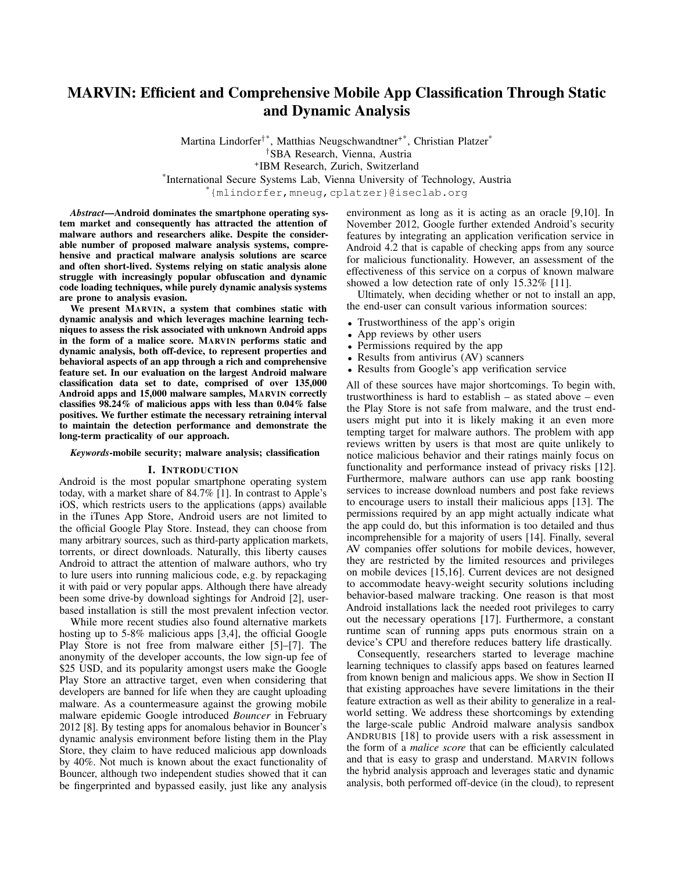# MARVIN: Efficient and Comprehensive Mobile App Classification Through Static and Dynamic Analysis

Martina Lindorfer<sup>†\*</sup>, Matthias Neugschwandtner<sup>+\*</sup>, Christian Platzer<sup>\*</sup> †SBA Research, Vienna, Austria + IBM Research, Zurich, Switzerland \* International Secure Systems Lab, Vienna University of Technology, Austria \*{mlindorfer,mneug,cplatzer}@iseclab.org

*Abstract*—Android dominates the smartphone operating system market and consequently has attracted the attention of malware authors and researchers alike. Despite the considerable number of proposed malware analysis systems, comprehensive and practical malware analysis solutions are scarce and often short-lived. Systems relying on static analysis alone struggle with increasingly popular obfuscation and dynamic code loading techniques, while purely dynamic analysis systems are prone to analysis evasion.

We present MARVIN, a system that combines static with dynamic analysis and which leverages machine learning techniques to assess the risk associated with unknown Android apps in the form of a malice score. MARVIN performs static and dynamic analysis, both off-device, to represent properties and behavioral aspects of an app through a rich and comprehensive feature set. In our evaluation on the largest Android malware classification data set to date, comprised of over 135,000 Android apps and 15,000 malware samples, MARVIN correctly classifies 98.24% of malicious apps with less than 0.04% false positives. We further estimate the necessary retraining interval to maintain the detection performance and demonstrate the long-term practicality of our approach.

### *Keywords*-mobile security; malware analysis; classification

# I. INTRODUCTION

Android is the most popular smartphone operating system today, with a market share of 84.7% [1]. In contrast to Apple's iOS, which restricts users to the applications (apps) available in the iTunes App Store, Android users are not limited to the official Google Play Store. Instead, they can choose from many arbitrary sources, such as third-party application markets, torrents, or direct downloads. Naturally, this liberty causes Android to attract the attention of malware authors, who try to lure users into running malicious code, e.g. by repackaging it with paid or very popular apps. Although there have already been some drive-by download sightings for Android [2], userbased installation is still the most prevalent infection vector.

While more recent studies also found alternative markets hosting up to 5-8% malicious apps [3,4], the official Google Play Store is not free from malware either [5]–[7]. The anonymity of the developer accounts, the low sign-up fee of \$25 USD, and its popularity amongst users make the Google Play Store an attractive target, even when considering that developers are banned for life when they are caught uploading malware. As a countermeasure against the growing mobile malware epidemic Google introduced *Bouncer* in February 2012 [8]. By testing apps for anomalous behavior in Bouncer's dynamic analysis environment before listing them in the Play Store, they claim to have reduced malicious app downloads by 40%. Not much is known about the exact functionality of Bouncer, although two independent studies showed that it can be fingerprinted and bypassed easily, just like any analysis

environment as long as it is acting as an oracle [9,10]. In November 2012, Google further extended Android's security features by integrating an application verification service in Android 4.2 that is capable of checking apps from any source for malicious functionality. However, an assessment of the effectiveness of this service on a corpus of known malware showed a low detection rate of only 15.32% [11].

Ultimately, when deciding whether or not to install an app, the end-user can consult various information sources:

- Trustworthiness of the app's origin
- App reviews by other users
- Permissions required by the app
- Results from antivirus (AV) scanners
- Results from Google's app verification service

All of these sources have major shortcomings. To begin with, trustworthiness is hard to establish – as stated above – even the Play Store is not safe from malware, and the trust endusers might put into it is likely making it an even more tempting target for malware authors. The problem with app reviews written by users is that most are quite unlikely to notice malicious behavior and their ratings mainly focus on functionality and performance instead of privacy risks [12]. Furthermore, malware authors can use app rank boosting services to increase download numbers and post fake reviews to encourage users to install their malicious apps [13]. The permissions required by an app might actually indicate what the app could do, but this information is too detailed and thus incomprehensible for a majority of users [14]. Finally, several AV companies offer solutions for mobile devices, however, they are restricted by the limited resources and privileges on mobile devices [15,16]. Current devices are not designed to accommodate heavy-weight security solutions including behavior-based malware tracking. One reason is that most Android installations lack the needed root privileges to carry out the necessary operations [17]. Furthermore, a constant runtime scan of running apps puts enormous strain on a device's CPU and therefore reduces battery life drastically.

Consequently, researchers started to leverage machine learning techniques to classify apps based on features learned from known benign and malicious apps. We show in Section II that existing approaches have severe limitations in the their feature extraction as well as their ability to generalize in a realworld setting. We address these shortcomings by extending the large-scale public Android malware analysis sandbox ANDRUBIS [18] to provide users with a risk assessment in the form of a *malice score* that can be efficiently calculated and that is easy to grasp and understand. MARVIN follows the hybrid analysis approach and leverages static and dynamic analysis, both performed off-device (in the cloud), to represent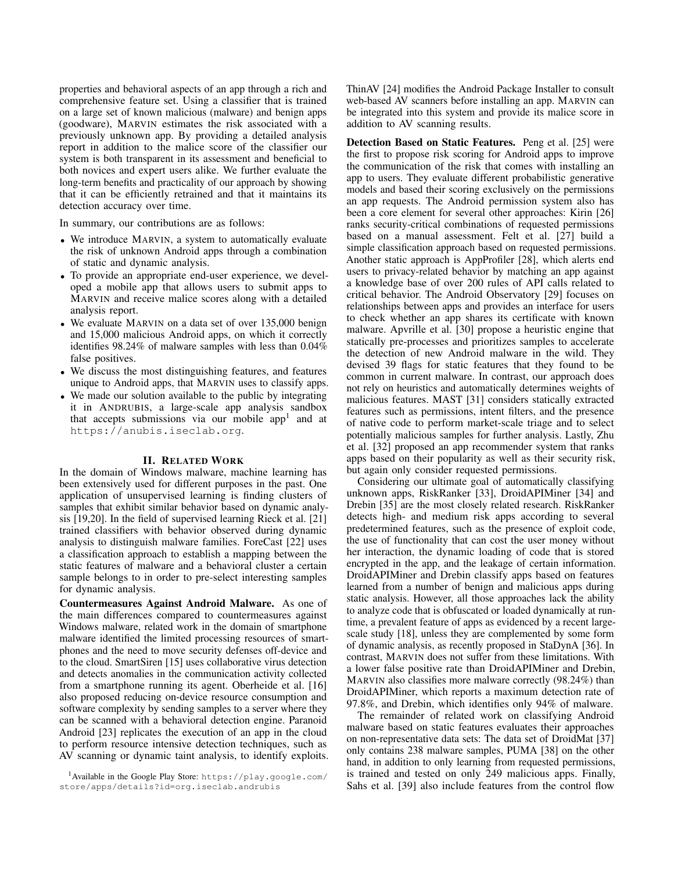properties and behavioral aspects of an app through a rich and comprehensive feature set. Using a classifier that is trained on a large set of known malicious (malware) and benign apps (goodware), MARVIN estimates the risk associated with a previously unknown app. By providing a detailed analysis report in addition to the malice score of the classifier our system is both transparent in its assessment and beneficial to both novices and expert users alike. We further evaluate the long-term benefits and practicality of our approach by showing that it can be efficiently retrained and that it maintains its detection accuracy over time.

In summary, our contributions are as follows:

- We introduce MARVIN, a system to automatically evaluate the risk of unknown Android apps through a combination of static and dynamic analysis.
- To provide an appropriate end-user experience, we developed a mobile app that allows users to submit apps to MARVIN and receive malice scores along with a detailed analysis report.
- We evaluate MARVIN on a data set of over 135,000 benign and 15,000 malicious Android apps, on which it correctly identifies 98.24% of malware samples with less than 0.04% false positives.
- We discuss the most distinguishing features, and features unique to Android apps, that MARVIN uses to classify apps.
- We made our solution available to the public by integrating it in ANDRUBIS, a large-scale app analysis sandbox that accepts submissions via our mobile app<sup>1</sup> and at https://anubis.iseclab.org.

#### II. RELATED WORK

In the domain of Windows malware, machine learning has been extensively used for different purposes in the past. One application of unsupervised learning is finding clusters of samples that exhibit similar behavior based on dynamic analysis [19,20]. In the field of supervised learning Rieck et al. [21] trained classifiers with behavior observed during dynamic analysis to distinguish malware families. ForeCast [22] uses a classification approach to establish a mapping between the static features of malware and a behavioral cluster a certain sample belongs to in order to pre-select interesting samples for dynamic analysis.

Countermeasures Against Android Malware. As one of the main differences compared to countermeasures against Windows malware, related work in the domain of smartphone malware identified the limited processing resources of smartphones and the need to move security defenses off-device and to the cloud. SmartSiren [15] uses collaborative virus detection and detects anomalies in the communication activity collected from a smartphone running its agent. Oberheide et al. [16] also proposed reducing on-device resource consumption and software complexity by sending samples to a server where they can be scanned with a behavioral detection engine. Paranoid Android [23] replicates the execution of an app in the cloud to perform resource intensive detection techniques, such as AV scanning or dynamic taint analysis, to identify exploits. ThinAV [24] modifies the Android Package Installer to consult web-based AV scanners before installing an app. MARVIN can be integrated into this system and provide its malice score in addition to AV scanning results.

Detection Based on Static Features. Peng et al. [25] were the first to propose risk scoring for Android apps to improve the communication of the risk that comes with installing an app to users. They evaluate different probabilistic generative models and based their scoring exclusively on the permissions an app requests. The Android permission system also has been a core element for several other approaches: Kirin [26] ranks security-critical combinations of requested permissions based on a manual assessment. Felt et al. [27] build a simple classification approach based on requested permissions. Another static approach is AppProfiler [28], which alerts end users to privacy-related behavior by matching an app against a knowledge base of over 200 rules of API calls related to critical behavior. The Android Observatory [29] focuses on relationships between apps and provides an interface for users to check whether an app shares its certificate with known malware. Apvrille et al. [30] propose a heuristic engine that statically pre-processes and prioritizes samples to accelerate the detection of new Android malware in the wild. They devised 39 flags for static features that they found to be common in current malware. In contrast, our approach does not rely on heuristics and automatically determines weights of malicious features. MAST [31] considers statically extracted features such as permissions, intent filters, and the presence of native code to perform market-scale triage and to select potentially malicious samples for further analysis. Lastly, Zhu et al. [32] proposed an app recommender system that ranks apps based on their popularity as well as their security risk, but again only consider requested permissions.

Considering our ultimate goal of automatically classifying unknown apps, RiskRanker [33], DroidAPIMiner [34] and Drebin [35] are the most closely related research. RiskRanker detects high- and medium risk apps according to several predetermined features, such as the presence of exploit code, the use of functionality that can cost the user money without her interaction, the dynamic loading of code that is stored encrypted in the app, and the leakage of certain information. DroidAPIMiner and Drebin classify apps based on features learned from a number of benign and malicious apps during static analysis. However, all those approaches lack the ability to analyze code that is obfuscated or loaded dynamically at runtime, a prevalent feature of apps as evidenced by a recent largescale study [18], unless they are complemented by some form of dynamic analysis, as recently proposed in StaDynA [36]. In contrast, MARVIN does not suffer from these limitations. With a lower false positive rate than DroidAPIMiner and Drebin, MARVIN also classifies more malware correctly (98.24%) than DroidAPIMiner, which reports a maximum detection rate of 97.8%, and Drebin, which identifies only 94% of malware.

The remainder of related work on classifying Android malware based on static features evaluates their approaches on non-representative data sets: The data set of DroidMat [37] only contains 238 malware samples, PUMA [38] on the other hand, in addition to only learning from requested permissions, is trained and tested on only 249 malicious apps. Finally, Sahs et al. [39] also include features from the control flow

<sup>1</sup>Available in the Google Play Store: https://play.google.com/ store/apps/details?id=org.iseclab.andrubis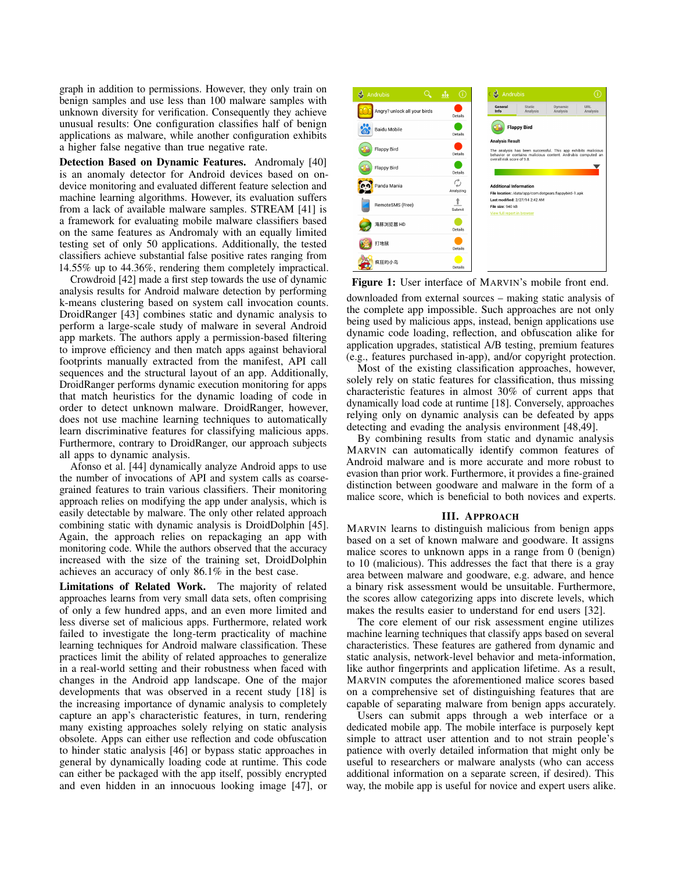graph in addition to permissions. However, they only train on benign samples and use less than 100 malware samples with unknown diversity for verification. Consequently they achieve unusual results: One configuration classifies half of benign applications as malware, while another configuration exhibits a higher false negative than true negative rate.

Detection Based on Dynamic Features. Andromaly [40] is an anomaly detector for Android devices based on ondevice monitoring and evaluated different feature selection and machine learning algorithms. However, its evaluation suffers from a lack of available malware samples. STREAM [41] is a framework for evaluating mobile malware classifiers based on the same features as Andromaly with an equally limited testing set of only 50 applications. Additionally, the tested classifiers achieve substantial false positive rates ranging from 14.55% up to 44.36%, rendering them completely impractical.

Crowdroid [42] made a first step towards the use of dynamic analysis results for Android malware detection by performing k-means clustering based on system call invocation counts. DroidRanger [43] combines static and dynamic analysis to perform a large-scale study of malware in several Android app markets. The authors apply a permission-based filtering to improve efficiency and then match apps against behavioral footprints manually extracted from the manifest, API call sequences and the structural layout of an app. Additionally, DroidRanger performs dynamic execution monitoring for apps that match heuristics for the dynamic loading of code in order to detect unknown malware. DroidRanger, however, does not use machine learning techniques to automatically learn discriminative features for classifying malicious apps. Furthermore, contrary to DroidRanger, our approach subjects all apps to dynamic analysis.

Afonso et al. [44] dynamically analyze Android apps to use the number of invocations of API and system calls as coarsegrained features to train various classifiers. Their monitoring approach relies on modifying the app under analysis, which is easily detectable by malware. The only other related approach combining static with dynamic analysis is DroidDolphin [45]. Again, the approach relies on repackaging an app with monitoring code. While the authors observed that the accuracy increased with the size of the training set, DroidDolphin achieves an accuracy of only 86.1% in the best case.

Limitations of Related Work. The majority of related approaches learns from very small data sets, often comprising of only a few hundred apps, and an even more limited and less diverse set of malicious apps. Furthermore, related work failed to investigate the long-term practicality of machine learning techniques for Android malware classification. These practices limit the ability of related approaches to generalize in a real-world setting and their robustness when faced with changes in the Android app landscape. One of the major developments that was observed in a recent study [18] is the increasing importance of dynamic analysis to completely capture an app's characteristic features, in turn, rendering many existing approaches solely relying on static analysis obsolete. Apps can either use reflection and code obfuscation to hinder static analysis [46] or bypass static approaches in general by dynamically loading code at runtime. This code can either be packaged with the app itself, possibly encrypted and even hidden in an innocuous looking image [47], or



Figure 1: User interface of MARVIN's mobile front end.

downloaded from external sources – making static analysis of the complete app impossible. Such approaches are not only being used by malicious apps, instead, benign applications use dynamic code loading, reflection, and obfuscation alike for application upgrades, statistical A/B testing, premium features (e.g., features purchased in-app), and/or copyright protection.

Most of the existing classification approaches, however, solely rely on static features for classification, thus missing characteristic features in almost 30% of current apps that dynamically load code at runtime [18]. Conversely, approaches relying only on dynamic analysis can be defeated by apps detecting and evading the analysis environment [48,49].

By combining results from static and dynamic analysis MARVIN can automatically identify common features of Android malware and is more accurate and more robust to evasion than prior work. Furthermore, it provides a fine-grained distinction between goodware and malware in the form of a malice score, which is beneficial to both novices and experts.

# III. APPROACH

MARVIN learns to distinguish malicious from benign apps based on a set of known malware and goodware. It assigns malice scores to unknown apps in a range from 0 (benign) to 10 (malicious). This addresses the fact that there is a gray area between malware and goodware, e.g. adware, and hence a binary risk assessment would be unsuitable. Furthermore, the scores allow categorizing apps into discrete levels, which makes the results easier to understand for end users [32].

The core element of our risk assessment engine utilizes machine learning techniques that classify apps based on several characteristics. These features are gathered from dynamic and static analysis, network-level behavior and meta-information, like author fingerprints and application lifetime. As a result, MARVIN computes the aforementioned malice scores based on a comprehensive set of distinguishing features that are capable of separating malware from benign apps accurately.

Users can submit apps through a web interface or a dedicated mobile app. The mobile interface is purposely kept simple to attract user attention and to not strain people's patience with overly detailed information that might only be useful to researchers or malware analysts (who can access additional information on a separate screen, if desired). This way, the mobile app is useful for novice and expert users alike.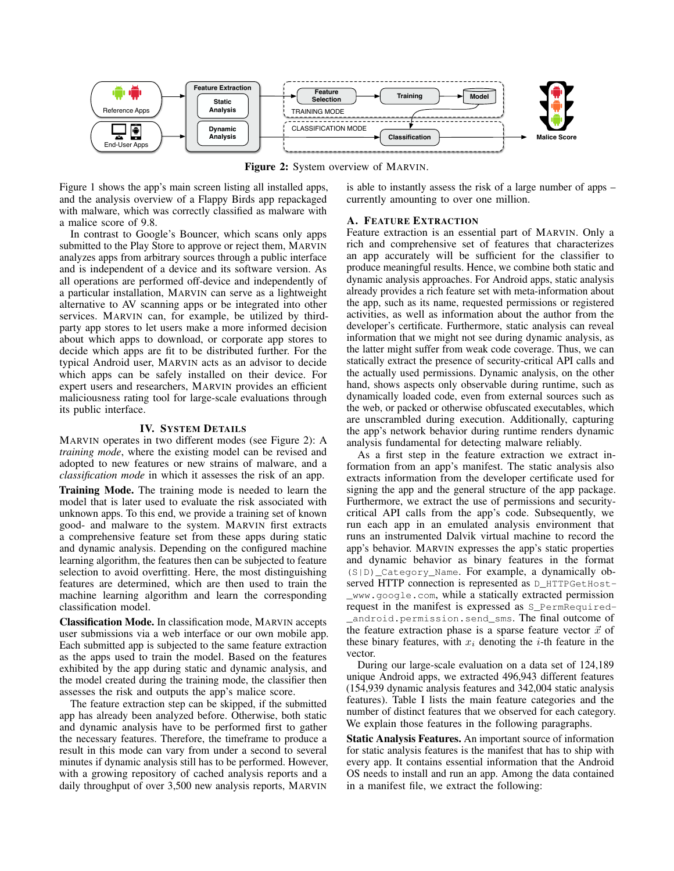

Figure 2: System overview of MARVIN.

Figure 1 shows the app's main screen listing all installed apps, and the analysis overview of a Flappy Birds app repackaged with malware, which was correctly classified as malware with a malice score of 9.8.

In contrast to Google's Bouncer, which scans only apps submitted to the Play Store to approve or reject them, MARVIN analyzes apps from arbitrary sources through a public interface and is independent of a device and its software version. As all operations are performed off-device and independently of a particular installation, MARVIN can serve as a lightweight alternative to AV scanning apps or be integrated into other services. MARVIN can, for example, be utilized by thirdparty app stores to let users make a more informed decision about which apps to download, or corporate app stores to decide which apps are fit to be distributed further. For the typical Android user, MARVIN acts as an advisor to decide which apps can be safely installed on their device. For expert users and researchers, MARVIN provides an efficient maliciousness rating tool for large-scale evaluations through its public interface.

# IV. SYSTEM DETAILS

MARVIN operates in two different modes (see Figure 2): A *training mode*, where the existing model can be revised and adopted to new features or new strains of malware, and a *classification mode* in which it assesses the risk of an app.

Training Mode. The training mode is needed to learn the model that is later used to evaluate the risk associated with unknown apps. To this end, we provide a training set of known good- and malware to the system. MARVIN first extracts a comprehensive feature set from these apps during static and dynamic analysis. Depending on the configured machine learning algorithm, the features then can be subjected to feature selection to avoid overfitting. Here, the most distinguishing features are determined, which are then used to train the machine learning algorithm and learn the corresponding classification model.

Classification Mode. In classification mode, MARVIN accepts user submissions via a web interface or our own mobile app. Each submitted app is subjected to the same feature extraction as the apps used to train the model. Based on the features exhibited by the app during static and dynamic analysis, and the model created during the training mode, the classifier then assesses the risk and outputs the app's malice score.

The feature extraction step can be skipped, if the submitted app has already been analyzed before. Otherwise, both static and dynamic analysis have to be performed first to gather the necessary features. Therefore, the timeframe to produce a result in this mode can vary from under a second to several minutes if dynamic analysis still has to be performed. However, with a growing repository of cached analysis reports and a daily throughput of over 3,500 new analysis reports, MARVIN

is able to instantly assess the risk of a large number of apps – currently amounting to over one million.

# A. FEATURE EXTRACTION

Feature extraction is an essential part of MARVIN. Only a rich and comprehensive set of features that characterizes an app accurately will be sufficient for the classifier to produce meaningful results. Hence, we combine both static and dynamic analysis approaches. For Android apps, static analysis already provides a rich feature set with meta-information about the app, such as its name, requested permissions or registered activities, as well as information about the author from the developer's certificate. Furthermore, static analysis can reveal information that we might not see during dynamic analysis, as the latter might suffer from weak code coverage. Thus, we can statically extract the presence of security-critical API calls and the actually used permissions. Dynamic analysis, on the other hand, shows aspects only observable during runtime, such as dynamically loaded code, even from external sources such as the web, or packed or otherwise obfuscated executables, which are unscrambled during execution. Additionally, capturing the app's network behavior during runtime renders dynamic analysis fundamental for detecting malware reliably.

As a first step in the feature extraction we extract information from an app's manifest. The static analysis also extracts information from the developer certificate used for signing the app and the general structure of the app package. Furthermore, we extract the use of permissions and securitycritical API calls from the app's code. Subsequently, we run each app in an emulated analysis environment that runs an instrumented Dalvik virtual machine to record the app's behavior. MARVIN expresses the app's static properties and dynamic behavior as binary features in the format  $(S|D)$  Category Name. For example, a dynamically observed HTTP connection is represented as D\_HTTPGetHost-\_www.google.com, while a statically extracted permission request in the manifest is expressed as S\_PermRequired- \_android.permission.send\_sms. The final outcome of the feature extraction phase is a sparse feature vector  $\vec{x}$  of these binary features, with  $x_i$  denoting the *i*-th feature in the vector.

During our large-scale evaluation on a data set of 124,189 unique Android apps, we extracted 496,943 different features (154,939 dynamic analysis features and 342,004 static analysis features). Table I lists the main feature categories and the number of distinct features that we observed for each category. We explain those features in the following paragraphs.

Static Analysis Features. An important source of information for static analysis features is the manifest that has to ship with every app. It contains essential information that the Android OS needs to install and run an app. Among the data contained in a manifest file, we extract the following: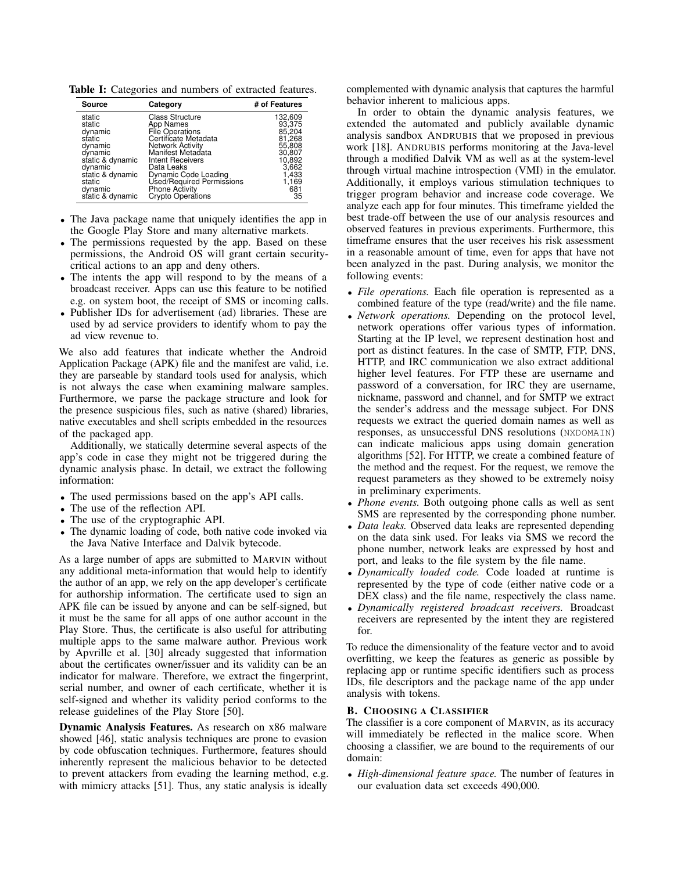Table I: Categories and numbers of extracted features.

| Source                                                                                                                                                  | Category                                                                                                                                                                                                                                                                   | # of Features                                                                                               |
|---------------------------------------------------------------------------------------------------------------------------------------------------------|----------------------------------------------------------------------------------------------------------------------------------------------------------------------------------------------------------------------------------------------------------------------------|-------------------------------------------------------------------------------------------------------------|
| static<br>static<br>dynamic<br>static<br>dynamic<br>dynamic<br>static & dynamic<br>dynamic<br>static & dynamic<br>static<br>dynamic<br>static & dynamic | <b>Class Structure</b><br>App Names<br>File Operations<br>Certificate Metadata<br><b>Network Activity</b><br>Manifest Metadata<br>Intent Receivers<br>Data Leaks<br>Dynamic Code Loading<br>Used/Required Permissions<br><b>Phone Activity</b><br><b>Crypto Operations</b> | 132,609<br>93,375<br>85,204<br>81,268<br>55,808<br>30,807<br>10,892<br>3,662<br>1,433<br>1,169<br>681<br>35 |
|                                                                                                                                                         |                                                                                                                                                                                                                                                                            |                                                                                                             |

- The Java package name that uniquely identifies the app in the Google Play Store and many alternative markets.
- The permissions requested by the app. Based on these permissions, the Android OS will grant certain securitycritical actions to an app and deny others.
- The intents the app will respond to by the means of a broadcast receiver. Apps can use this feature to be notified e.g. on system boot, the receipt of SMS or incoming calls.
- Publisher IDs for advertisement (ad) libraries. These are used by ad service providers to identify whom to pay the ad view revenue to.

We also add features that indicate whether the Android Application Package (APK) file and the manifest are valid, i.e. they are parseable by standard tools used for analysis, which is not always the case when examining malware samples. Furthermore, we parse the package structure and look for the presence suspicious files, such as native (shared) libraries, native executables and shell scripts embedded in the resources of the packaged app.

Additionally, we statically determine several aspects of the app's code in case they might not be triggered during the dynamic analysis phase. In detail, we extract the following information:

- The used permissions based on the app's API calls.
- The use of the reflection API.
- The use of the cryptographic API.
- The dynamic loading of code, both native code invoked via the Java Native Interface and Dalvik bytecode.

As a large number of apps are submitted to MARVIN without any additional meta-information that would help to identify the author of an app, we rely on the app developer's certificate for authorship information. The certificate used to sign an APK file can be issued by anyone and can be self-signed, but it must be the same for all apps of one author account in the Play Store. Thus, the certificate is also useful for attributing multiple apps to the same malware author. Previous work by Apvrille et al. [30] already suggested that information about the certificates owner/issuer and its validity can be an indicator for malware. Therefore, we extract the fingerprint, serial number, and owner of each certificate, whether it is self-signed and whether its validity period conforms to the release guidelines of the Play Store [50].

Dynamic Analysis Features. As research on x86 malware showed [46], static analysis techniques are prone to evasion by code obfuscation techniques. Furthermore, features should inherently represent the malicious behavior to be detected to prevent attackers from evading the learning method, e.g. with mimicry attacks [51]. Thus, any static analysis is ideally

complemented with dynamic analysis that captures the harmful behavior inherent to malicious apps.

In order to obtain the dynamic analysis features, we extended the automated and publicly available dynamic analysis sandbox ANDRUBIS that we proposed in previous work [18]. ANDRUBIS performs monitoring at the Java-level through a modified Dalvik VM as well as at the system-level through virtual machine introspection (VMI) in the emulator. Additionally, it employs various stimulation techniques to trigger program behavior and increase code coverage. We analyze each app for four minutes. This timeframe yielded the best trade-off between the use of our analysis resources and observed features in previous experiments. Furthermore, this timeframe ensures that the user receives his risk assessment in a reasonable amount of time, even for apps that have not been analyzed in the past. During analysis, we monitor the following events:

- *File operations.* Each file operation is represented as a combined feature of the type (read/write) and the file name.
- *Network operations*. Depending on the protocol level, network operations offer various types of information. Starting at the IP level, we represent destination host and port as distinct features. In the case of SMTP, FTP, DNS, HTTP, and IRC communication we also extract additional higher level features. For FTP these are username and password of a conversation, for IRC they are username, nickname, password and channel, and for SMTP we extract the sender's address and the message subject. For DNS requests we extract the queried domain names as well as responses, as unsuccessful DNS resolutions (NXDOMAIN) can indicate malicious apps using domain generation algorithms [52]. For HTTP, we create a combined feature of the method and the request. For the request, we remove the request parameters as they showed to be extremely noisy in preliminary experiments.
- *Phone events.* Both outgoing phone calls as well as sent SMS are represented by the corresponding phone number.
- *Data leaks.* Observed data leaks are represented depending on the data sink used. For leaks via SMS we record the phone number, network leaks are expressed by host and port, and leaks to the file system by the file name.
- *Dynamically loaded code.* Code loaded at runtime is represented by the type of code (either native code or a DEX class) and the file name, respectively the class name.
- *Dynamically registered broadcast receivers.* Broadcast receivers are represented by the intent they are registered for.

To reduce the dimensionality of the feature vector and to avoid overfitting, we keep the features as generic as possible by replacing app or runtime specific identifiers such as process IDs, file descriptors and the package name of the app under analysis with tokens.

# B. CHOOSING A CLASSIFIER

The classifier is a core component of MARVIN, as its accuracy will immediately be reflected in the malice score. When choosing a classifier, we are bound to the requirements of our domain:

• *High-dimensional feature space.* The number of features in our evaluation data set exceeds 490,000.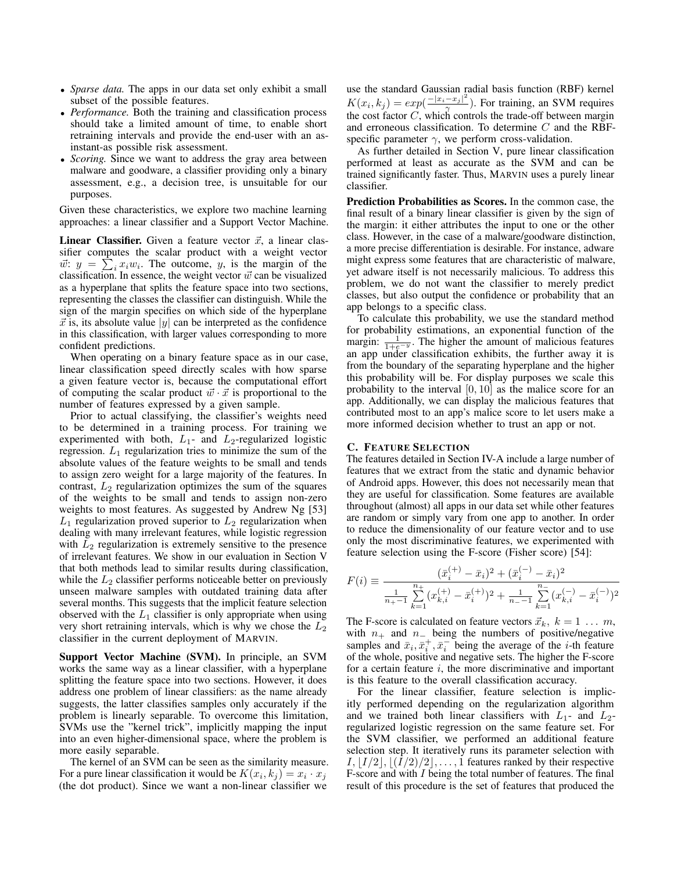- *Sparse data.* The apps in our data set only exhibit a small subset of the possible features.
- *Performance.* Both the training and classification process should take a limited amount of time, to enable short retraining intervals and provide the end-user with an asinstant-as possible risk assessment.
- *Scoring*. Since we want to address the gray area between malware and goodware, a classifier providing only a binary assessment, e.g., a decision tree, is unsuitable for our purposes.

Given these characteristics, we explore two machine learning approaches: a linear classifier and a Support Vector Machine.

**Linear Classifier.** Given a feature vector  $\vec{x}$ , a linear classifier computes the scalar product with a weight vector  $\vec{w}$ :  $y = \sum_i x_i w_i$ . The outcome, y, is the margin of the classification. In essence, the weight vector  $\vec{w}$  can be visualized as a hyperplane that splits the feature space into two sections, representing the classes the classifier can distinguish. While the sign of the margin specifies on which side of the hyperplane  $\vec{x}$  is, its absolute value |y| can be interpreted as the confidence in this classification, with larger values corresponding to more confident predictions.

When operating on a binary feature space as in our case, linear classification speed directly scales with how sparse a given feature vector is, because the computational effort of computing the scalar product  $\vec{w} \cdot \vec{x}$  is proportional to the number of features expressed by a given sample.

Prior to actual classifying, the classifier's weights need to be determined in a training process. For training we experimented with both,  $L_1$ - and  $L_2$ -regularized logistic regression.  $L_1$  regularization tries to minimize the sum of the absolute values of the feature weights to be small and tends to assign zero weight for a large majority of the features. In contrast,  $L_2$  regularization optimizes the sum of the squares of the weights to be small and tends to assign non-zero weights to most features. As suggested by Andrew Ng [53]  $L_1$  regularization proved superior to  $L_2$  regularization when dealing with many irrelevant features, while logistic regression with  $L_2$  regularization is extremely sensitive to the presence of irrelevant features. We show in our evaluation in Section V that both methods lead to similar results during classification, while the  $L_2$  classifier performs noticeable better on previously unseen malware samples with outdated training data after several months. This suggests that the implicit feature selection observed with the  $L_1$  classifier is only appropriate when using very short retraining intervals, which is why we chose the  $L_2$ classifier in the current deployment of MARVIN.

Support Vector Machine (SVM). In principle, an SVM works the same way as a linear classifier, with a hyperplane splitting the feature space into two sections. However, it does address one problem of linear classifiers: as the name already suggests, the latter classifies samples only accurately if the problem is linearly separable. To overcome this limitation, SVMs use the "kernel trick", implicitly mapping the input into an even higher-dimensional space, where the problem is more easily separable.

The kernel of an SVM can be seen as the similarity measure. For a pure linear classification it would be  $K(x_i, k_j) = x_i \cdot x_j$ (the dot product). Since we want a non-linear classifier we

use the standard Gaussian radial basis function (RBF) kernel  $K(x_i, k_j) = exp(\frac{-|x_i - x_j|^2}{\gamma})$  $\frac{-x_j|}{\gamma}$ ). For training, an SVM requires the cost factor  $C$ , which controls the trade-off between margin and erroneous classification. To determine C and the RBFspecific parameter  $\gamma$ , we perform cross-validation.

As further detailed in Section V, pure linear classification performed at least as accurate as the SVM and can be trained significantly faster. Thus, MARVIN uses a purely linear classifier.

Prediction Probabilities as Scores. In the common case, the final result of a binary linear classifier is given by the sign of the margin: it either attributes the input to one or the other class. However, in the case of a malware/goodware distinction, a more precise differentiation is desirable. For instance, adware might express some features that are characteristic of malware, yet adware itself is not necessarily malicious. To address this problem, we do not want the classifier to merely predict classes, but also output the confidence or probability that an app belongs to a specific class.

To calculate this probability, we use the standard method for probability estimations, an exponential function of the margin:  $\frac{1}{1+e^{-y}}$ . The higher the amount of malicious features an app under classification exhibits, the further away it is from the boundary of the separating hyperplane and the higher this probability will be. For display purposes we scale this probability to the interval [0, 10] as the malice score for an app. Additionally, we can display the malicious features that contributed most to an app's malice score to let users make a more informed decision whether to trust an app or not.

# C. FEATURE SELECTION

The features detailed in Section IV-A include a large number of features that we extract from the static and dynamic behavior of Android apps. However, this does not necessarily mean that they are useful for classification. Some features are available throughout (almost) all apps in our data set while other features are random or simply vary from one app to another. In order to reduce the dimensionality of our feature vector and to use only the most discriminative features, we experimented with feature selection using the F-score (Fisher score) [54]:

$$
F(i) \equiv \frac{(\bar{x}_i^{(+)}-\bar{x}_i)^2 + (\bar{x}_i^{(-)}-\bar{x}_i)^2}{\frac{1}{n_+-1} \sum_{k=1}^{n_+} (x_{k,i}^{(+)}-\bar{x}_i^{(+)})^2 + \frac{1}{n_--1} \sum_{k=1}^{n_-} (x_{k,i}^{(-)}-\bar{x}_i^{(-)})^2}
$$

The F-score is calculated on feature vectors  $\vec{x}_k$ ,  $k = 1 \ldots m$ , with  $n_+$  and  $n_-$  being the numbers of positive/negative samples and  $\bar{x}_i, \bar{x}_i^+, \bar{x}_i^-$  being the average of the *i*-th feature of the whole, positive and negative sets. The higher the F-score for a certain feature  $i$ , the more discriminative and important is this feature to the overall classification accuracy.

For the linear classifier, feature selection is implicitly performed depending on the regularization algorithm and we trained both linear classifiers with  $L_1$ - and  $L_2$ regularized logistic regression on the same feature set. For the SVM classifier, we performed an additional feature selection step. It iteratively runs its parameter selection with  $I, |I/2|, |(I/2)/2|, \ldots, 1$  features ranked by their respective F-score and with  $I$  being the total number of features. The final result of this procedure is the set of features that produced the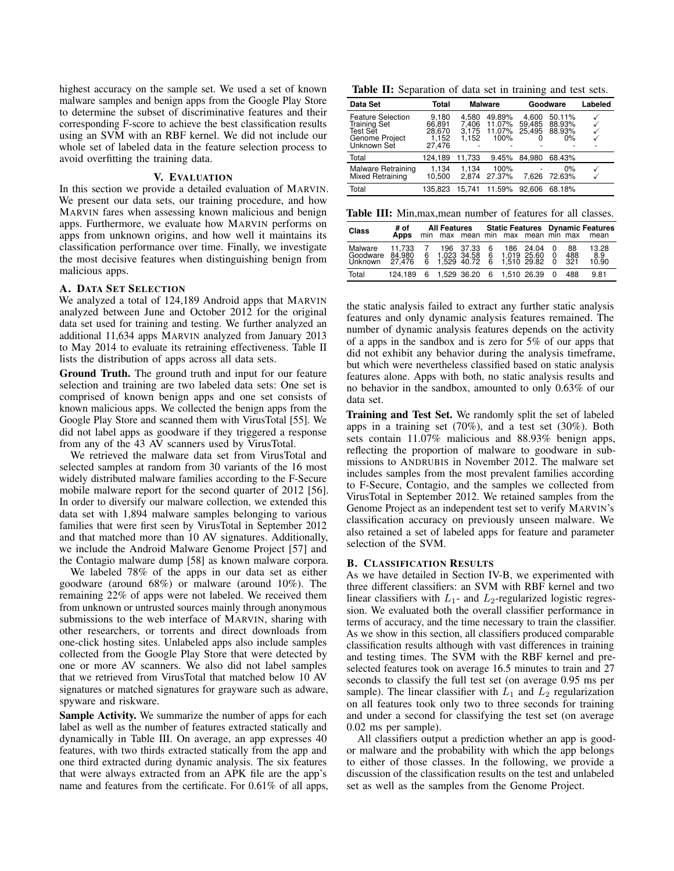highest accuracy on the sample set. We used a set of known malware samples and benign apps from the Google Play Store to determine the subset of discriminative features and their corresponding F-score to achieve the best classification results using an SVM with an RBF kernel. We did not include our whole set of labeled data in the feature selection process to avoid overfitting the training data.

#### V. EVALUATION

In this section we provide a detailed evaluation of MARVIN. We present our data sets, our training procedure, and how MARVIN fares when assessing known malicious and benign apps. Furthermore, we evaluate how MARVIN performs on apps from unknown origins, and how well it maintains its classification performance over time. Finally, we investigate the most decisive features when distinguishing benign from malicious apps.

# A. DATA SET SELECTION

We analyzed a total of 124,189 Android apps that MARVIN analyzed between June and October 2012 for the original data set used for training and testing. We further analyzed an additional 11,634 apps MARVIN analyzed from January 2013 to May 2014 to evaluate its retraining effectiveness. Table II lists the distribution of apps across all data sets.

Ground Truth. The ground truth and input for our feature selection and training are two labeled data sets: One set is comprised of known benign apps and one set consists of known malicious apps. We collected the benign apps from the Google Play Store and scanned them with VirusTotal [55]. We did not label apps as goodware if they triggered a response from any of the 43 AV scanners used by VirusTotal.

We retrieved the malware data set from VirusTotal and selected samples at random from 30 variants of the 16 most widely distributed malware families according to the F-Secure mobile malware report for the second quarter of 2012 [56]. In order to diversify our malware collection, we extended this data set with 1,894 malware samples belonging to various families that were first seen by VirusTotal in September 2012 and that matched more than 10 AV signatures. Additionally, we include the Android Malware Genome Project [57] and the Contagio malware dump [58] as known malware corpora.

We labeled 78% of the apps in our data set as either goodware (around 68%) or malware (around 10%). The remaining 22% of apps were not labeled. We received them from unknown or untrusted sources mainly through anonymous submissions to the web interface of MARVIN, sharing with other researchers, or torrents and direct downloads from one-click hosting sites. Unlabeled apps also include samples collected from the Google Play Store that were detected by one or more AV scanners. We also did not label samples that we retrieved from VirusTotal that matched below 10 AV signatures or matched signatures for grayware such as adware, spyware and riskware.

Sample Activity. We summarize the number of apps for each label as well as the number of features extracted statically and dynamically in Table III. On average, an app expresses 40 features, with two thirds extracted statically from the app and one third extracted during dynamic analysis. The six features that were always extracted from an APK file are the app's name and features from the certificate. For 0.61% of all apps,

Table II: Separation of data set in training and test sets.

| Data Set                                                                              | Total                                        |                                       | <b>Malware</b>                     | Goodware                       | Labeled                             |  |
|---------------------------------------------------------------------------------------|----------------------------------------------|---------------------------------------|------------------------------------|--------------------------------|-------------------------------------|--|
| <b>Feature Selection</b><br>Training Set<br>Test Set<br>Genome Project<br>Unknown Set | 9,180<br>66,891<br>28.670<br>1,152<br>27.476 | 4.580<br>7,406<br>3.175<br>1.152<br>۰ | 49.89%<br>11.07%<br>11.07%<br>100% | 4,600<br>59.485<br>25.495<br>o | 50.11%<br>88.93%<br>88.93%<br>$0\%$ |  |
| Total                                                                                 | 124.189                                      | 11,733                                | 9.45%                              | 84.980                         | 68.43%                              |  |
| <b>Malware Retraining</b><br><b>Mixed Retraining</b>                                  | 1,134<br>10.500                              | 1,134<br>2.874                        | 100%<br>27.37%                     | 7.626                          | $0\%$<br>72.63%                     |  |
| Total                                                                                 | 135.823                                      | 15.741                                | 11.59%                             | 92.606                         | 68.18%                              |  |

Table III: Min,max,mean number of features for all classes.

| Class                          | # of<br><b>All Features</b><br>min max mean min max mean min max |        |     |                                     |             | <b>Static Features</b> Dynamic Features |             |                  |                       |
|--------------------------------|------------------------------------------------------------------|--------|-----|-------------------------------------|-------------|-----------------------------------------|-------------|------------------|-----------------------|
|                                | Apps                                                             |        |     |                                     |             |                                         |             |                  | mean                  |
| Malware<br>Goodware<br>Unknown | 11.733<br>84.980<br>27.476                                       | 6<br>6 | 196 | 37.33<br>1.023 34.58<br>1.529 40.72 | 6<br>6<br>6 | 186 24.04<br>1,019 25.60<br>1.510 29.82 | 0<br>0<br>O | 88<br>488<br>321 | 13.28<br>8.9<br>10.90 |
| Total                          | 124.189                                                          | 6      |     |                                     |             | 1.529 36.20 6 1.510 26.39               | 0           | 488              | 9.81                  |

the static analysis failed to extract any further static analysis features and only dynamic analysis features remained. The number of dynamic analysis features depends on the activity of a apps in the sandbox and is zero for 5% of our apps that did not exhibit any behavior during the analysis timeframe, but which were nevertheless classified based on static analysis features alone. Apps with both, no static analysis results and no behavior in the sandbox, amounted to only 0.63% of our data set.

Training and Test Set. We randomly split the set of labeled apps in a training set (70%), and a test set (30%). Both sets contain 11.07% malicious and 88.93% benign apps, reflecting the proportion of malware to goodware in submissions to ANDRUBIS in November 2012. The malware set includes samples from the most prevalent families according to F-Secure, Contagio, and the samples we collected from VirusTotal in September 2012. We retained samples from the Genome Project as an independent test set to verify MARVIN's classification accuracy on previously unseen malware. We also retained a set of labeled apps for feature and parameter selection of the SVM.

# B. CLASSIFICATION RESULTS

As we have detailed in Section IV-B, we experimented with three different classifiers: an SVM with RBF kernel and two linear classifiers with  $L_1$ - and  $L_2$ -regularized logistic regression. We evaluated both the overall classifier performance in terms of accuracy, and the time necessary to train the classifier. As we show in this section, all classifiers produced comparable classification results although with vast differences in training and testing times. The SVM with the RBF kernel and preselected features took on average 16.5 minutes to train and 27 seconds to classify the full test set (on average 0.95 ms per sample). The linear classifier with  $L_1$  and  $L_2$  regularization on all features took only two to three seconds for training and under a second for classifying the test set (on average 0.02 ms per sample).

All classifiers output a prediction whether an app is goodor malware and the probability with which the app belongs to either of those classes. In the following, we provide a discussion of the classification results on the test and unlabeled set as well as the samples from the Genome Project.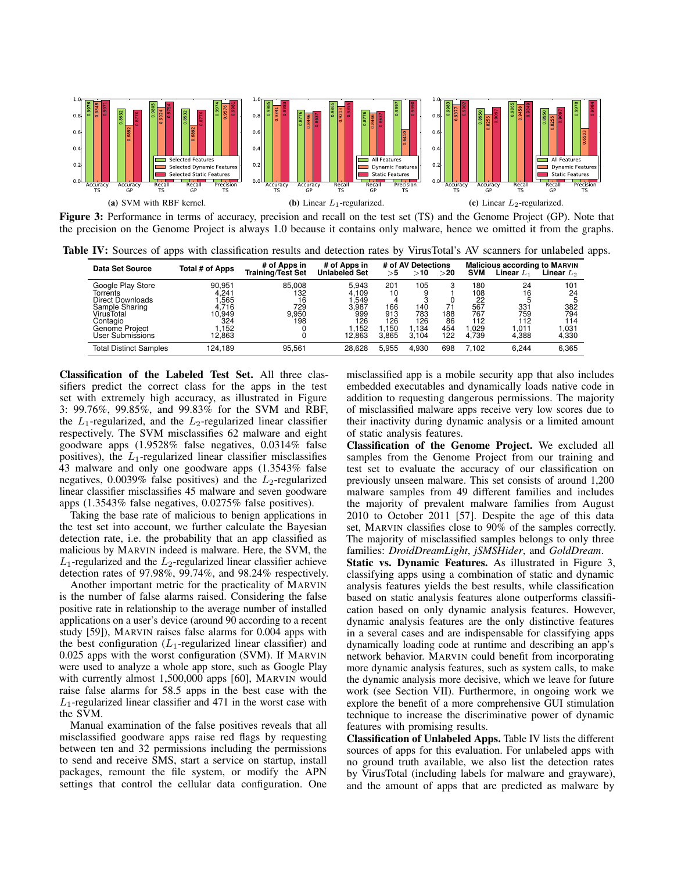

the precision on the Genome Project is always 1.0 because it contains only malware, hence we omitted it from the graphs.

Table IV: Sources of apps with classification results and detection rates by VirusTotal's AV scanners for unlabeled apps.

| <b>Data Set Source</b>                                                                                                                     | Total # of Apps                                                     | # of Apps in<br><b>Training/Test Set</b>   | # of Apps in<br><b>Unlabeled Set</b>                            | >5                                               | # of AV Detections<br>$>$ 10 $\,$          | $>$ 20                             | <b>SVM</b>                                             | <b>Malicious according to MARVIN</b><br>Linear $L_1$ | Linear $L_2$                                    |
|--------------------------------------------------------------------------------------------------------------------------------------------|---------------------------------------------------------------------|--------------------------------------------|-----------------------------------------------------------------|--------------------------------------------------|--------------------------------------------|------------------------------------|--------------------------------------------------------|------------------------------------------------------|-------------------------------------------------|
| Google Play Store<br>Torrents<br><b>Direct Downloads</b><br>Sample Sharing<br>VirusTotal<br>Contagio<br>Genome Project<br>User Submissions | 90.951<br>4.241<br>.565<br>4.716<br>10.949<br>324<br>.152<br>12.863 | 85,008<br>132<br>16<br>729<br>9,950<br>198 | 5.943<br>4.109<br>.549<br>3,987<br>999<br>126<br>.152<br>12.863 | 201<br>10<br>166<br>913<br>126<br>1.150<br>3.865 | 105<br>140<br>783<br>126<br>1.134<br>3.104 | 3<br>71<br>188<br>86<br>454<br>122 | 180<br>108<br>22<br>567<br>767<br>112<br>.029<br>4.739 | 24<br>16<br>331<br>759<br>112<br>.011<br>4.388       | 101<br>24<br>382<br>794<br>114<br>,031<br>4,330 |
| <b>Total Distinct Samples</b>                                                                                                              | 124.189                                                             | 95.561                                     | 28.628                                                          | 5.955                                            | 4.930                                      | 698                                | 7.102                                                  | 6.244                                                | 6,365                                           |

Classification of the Labeled Test Set. All three classifiers predict the correct class for the apps in the test set with extremely high accuracy, as illustrated in Figure 3: 99.76%, 99.85%, and 99.83% for the SVM and RBF, the  $L_1$ -regularized, and the  $L_2$ -regularized linear classifier respectively. The SVM misclassifies 62 malware and eight goodware apps (1.9528% false negatives, 0.0314% false positives), the  $L_1$ -regularized linear classifier misclassifies 43 malware and only one goodware apps (1.3543% false negatives,  $0.0039\%$  false positives) and the  $L_2$ -regularized linear classifier misclassifies 45 malware and seven goodware apps (1.3543% false negatives, 0.0275% false positives).

Taking the base rate of malicious to benign applications in the test set into account, we further calculate the Bayesian detection rate, i.e. the probability that an app classified as malicious by MARVIN indeed is malware. Here, the SVM, the  $L_1$ -regularized and the  $L_2$ -regularized linear classifier achieve detection rates of 97.98%, 99.74%, and 98.24% respectively.

Another important metric for the practicality of MARVIN is the number of false alarms raised. Considering the false positive rate in relationship to the average number of installed applications on a user's device (around 90 according to a recent study [59]), MARVIN raises false alarms for 0.004 apps with the best configuration  $(L_1$ -regularized linear classifier) and 0.025 apps with the worst configuration (SVM). If MARVIN were used to analyze a whole app store, such as Google Play with currently almost 1,500,000 apps [60], MARVIN would raise false alarms for 58.5 apps in the best case with the  $L_1$ -regularized linear classifier and 471 in the worst case with the SVM.

Manual examination of the false positives reveals that all misclassified goodware apps raise red flags by requesting between ten and 32 permissions including the permissions to send and receive SMS, start a service on startup, install packages, remount the file system, or modify the APN settings that control the cellular data configuration. One misclassified app is a mobile security app that also includes embedded executables and dynamically loads native code in addition to requesting dangerous permissions. The majority of misclassified malware apps receive very low scores due to their inactivity during dynamic analysis or a limited amount of static analysis features.

Classification of the Genome Project. We excluded all samples from the Genome Project from our training and test set to evaluate the accuracy of our classification on previously unseen malware. This set consists of around 1,200 malware samples from 49 different families and includes the majority of prevalent malware families from August 2010 to October 2011 [57]. Despite the age of this data set, MARVIN classifies close to 90% of the samples correctly. The majority of misclassified samples belongs to only three families: *DroidDreamLight*, *jSMSHider*, and *GoldDream*.

Static vs. Dynamic Features. As illustrated in Figure 3, classifying apps using a combination of static and dynamic analysis features yields the best results, while classification based on static analysis features alone outperforms classification based on only dynamic analysis features. However, dynamic analysis features are the only distinctive features in a several cases and are indispensable for classifying apps dynamically loading code at runtime and describing an app's network behavior. MARVIN could benefit from incorporating more dynamic analysis features, such as system calls, to make the dynamic analysis more decisive, which we leave for future work (see Section VII). Furthermore, in ongoing work we explore the benefit of a more comprehensive GUI stimulation technique to increase the discriminative power of dynamic features with promising results.

Classification of Unlabeled Apps. Table IV lists the different sources of apps for this evaluation. For unlabeled apps with no ground truth available, we also list the detection rates by VirusTotal (including labels for malware and grayware), and the amount of apps that are predicted as malware by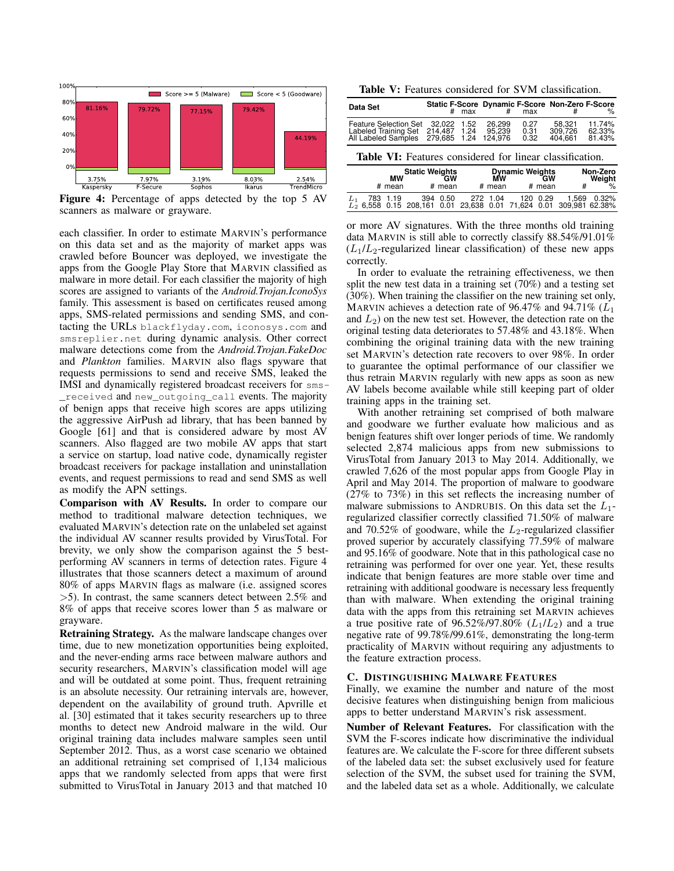

Figure 4: Percentage of apps detected by the top 5 AV scanners as malware or grayware.

each classifier. In order to estimate MARVIN's performance on this data set and as the majority of market apps was crawled before Bouncer was deployed, we investigate the apps from the Google Play Store that MARVIN classified as malware in more detail. For each classifier the majority of high scores are assigned to variants of the *Android.Trojan.IconoSys* family. This assessment is based on certificates reused among apps, SMS-related permissions and sending SMS, and contacting the URLs blackflyday.com, iconosys.com and smsreplier.net during dynamic analysis. Other correct malware detections come from the *Android.Trojan.FakeDoc* and *Plankton* families. MARVIN also flags spyware that requests permissions to send and receive SMS, leaked the IMSI and dynamically registered broadcast receivers for sms- \_received and new\_outgoing\_call events. The majority of benign apps that receive high scores are apps utilizing the aggressive AirPush ad library, that has been banned by Google [61] and that is considered adware by most AV scanners. Also flagged are two mobile AV apps that start a service on startup, load native code, dynamically register broadcast receivers for package installation and uninstallation events, and request permissions to read and send SMS as well as modify the APN settings.

Comparison with AV Results. In order to compare our method to traditional malware detection techniques, we evaluated MARVIN's detection rate on the unlabeled set against the individual AV scanner results provided by VirusTotal. For brevity, we only show the comparison against the 5 bestperforming AV scanners in terms of detection rates. Figure 4 illustrates that those scanners detect a maximum of around 80% of apps MARVIN flags as malware (i.e. assigned scores >5). In contrast, the same scanners detect between 2.5% and 8% of apps that receive scores lower than 5 as malware or grayware.

Retraining Strategy. As the malware landscape changes over time, due to new monetization opportunities being exploited, and the never-ending arms race between malware authors and security researchers, MARVIN's classification model will age and will be outdated at some point. Thus, frequent retraining is an absolute necessity. Our retraining intervals are, however, dependent on the availability of ground truth. Apvrille et al. [30] estimated that it takes security researchers up to three months to detect new Android malware in the wild. Our original training data includes malware samples seen until September 2012. Thus, as a worst case scenario we obtained an additional retraining set comprised of 1,134 malicious apps that we randomly selected from apps that were first submitted to VirusTotal in January 2013 and that matched 10

Table V: Features considered for SVM classification.

| Data Set                                                                                                           | # | max | #                | max                  | Static F-Score Dynamic F-Score Non-Zero F-Score | $\%$                       |
|--------------------------------------------------------------------------------------------------------------------|---|-----|------------------|----------------------|-------------------------------------------------|----------------------------|
| Feature Selection Set 32,022 1.52<br>Labeled Training Set 214,487 1.24<br>All Labeled Samples 279,685 1.24 124,976 |   |     | 26.299<br>95.239 | 0.27<br>0.31<br>0.32 | 58.321<br>309.726<br>404.661                    | 11.74%<br>62.33%<br>81.43% |

Table VI: Features considered for linear classification.

|  | <b>Static Weights</b><br>МW<br>GW<br># mean<br># mean |                                                                                                                               |  | МW<br># mean | <b>Dynamic Weights</b> | GW<br>$#$ mean | Non-Zero<br>Weight<br>% |  |
|--|-------------------------------------------------------|-------------------------------------------------------------------------------------------------------------------------------|--|--------------|------------------------|----------------|-------------------------|--|
|  |                                                       | $L_1$ 783 1.19 394 0.50 272 1.04 120 0.29 1,569 0.32%<br>$L_2$ 6,558 0.15 208,161 0.01 23,638 0.01 71,624 0.01 309,981 62.38% |  |              |                        |                |                         |  |

or more AV signatures. With the three months old training data MARVIN is still able to correctly classify 88.54%/91.01%  $(L_1/L_2$ -regularized linear classification) of these new apps correctly.

In order to evaluate the retraining effectiveness, we then split the new test data in a training set (70%) and a testing set (30%). When training the classifier on the new training set only, MARVIN achieves a detection rate of 96.47% and 94.71% ( $L_1$ ) and  $L_2$ ) on the new test set. However, the detection rate on the original testing data deteriorates to 57.48% and 43.18%. When combining the original training data with the new training set MARVIN's detection rate recovers to over 98%. In order to guarantee the optimal performance of our classifier we thus retrain MARVIN regularly with new apps as soon as new AV labels become available while still keeping part of older training apps in the training set.

With another retraining set comprised of both malware and goodware we further evaluate how malicious and as benign features shift over longer periods of time. We randomly selected 2,874 malicious apps from new submissions to VirusTotal from January 2013 to May 2014. Additionally, we crawled 7,626 of the most popular apps from Google Play in April and May 2014. The proportion of malware to goodware (27% to 73%) in this set reflects the increasing number of malware submissions to ANDRUBIS. On this data set the  $L_1$ regularized classifier correctly classified 71.50% of malware and 70.52% of goodware, while the  $L_2$ -regularized classifier proved superior by accurately classifying 77.59% of malware and 95.16% of goodware. Note that in this pathological case no retraining was performed for over one year. Yet, these results indicate that benign features are more stable over time and retraining with additional goodware is necessary less frequently than with malware. When extending the original training data with the apps from this retraining set MARVIN achieves a true positive rate of 96.52%/97.80%  $(L_1/L_2)$  and a true negative rate of 99.78%/99.61%, demonstrating the long-term practicality of MARVIN without requiring any adjustments to the feature extraction process.

## C. DISTINGUISHING MALWARE FEATURES

Finally, we examine the number and nature of the most decisive features when distinguishing benign from malicious apps to better understand MARVIN's risk assessment.

Number of Relevant Features. For classification with the SVM the F-scores indicate how discriminative the individual features are. We calculate the F-score for three different subsets of the labeled data set: the subset exclusively used for feature selection of the SVM, the subset used for training the SVM, and the labeled data set as a whole. Additionally, we calculate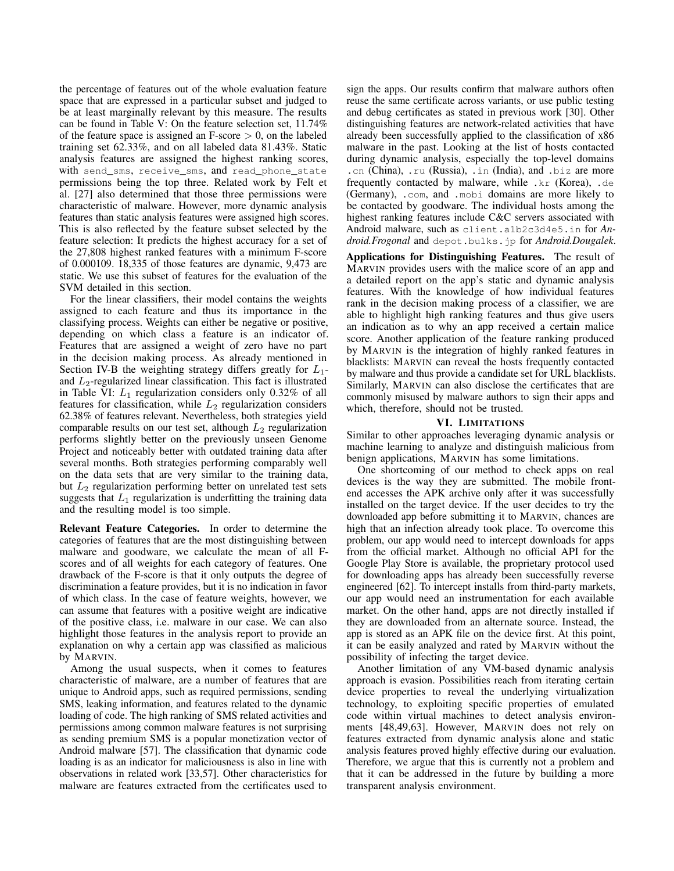the percentage of features out of the whole evaluation feature space that are expressed in a particular subset and judged to be at least marginally relevant by this measure. The results can be found in Table V: On the feature selection set, 11.74% of the feature space is assigned an  $F\text{-score} > 0$ , on the labeled training set 62.33%, and on all labeled data 81.43%. Static analysis features are assigned the highest ranking scores, with send\_sms, receive\_sms, and read\_phone\_state permissions being the top three. Related work by Felt et al. [27] also determined that those three permissions were characteristic of malware. However, more dynamic analysis features than static analysis features were assigned high scores. This is also reflected by the feature subset selected by the feature selection: It predicts the highest accuracy for a set of the 27,808 highest ranked features with a minimum F-score of 0.000109. 18,335 of those features are dynamic, 9,473 are static. We use this subset of features for the evaluation of the SVM detailed in this section.

For the linear classifiers, their model contains the weights assigned to each feature and thus its importance in the classifying process. Weights can either be negative or positive, depending on which class a feature is an indicator of. Features that are assigned a weight of zero have no part in the decision making process. As already mentioned in Section IV-B the weighting strategy differs greatly for  $L_1$ and  $L_2$ -regularized linear classification. This fact is illustrated in Table VI:  $L_1$  regularization considers only 0.32% of all features for classification, while  $L_2$  regularization considers 62.38% of features relevant. Nevertheless, both strategies yield comparable results on our test set, although  $L_2$  regularization performs slightly better on the previously unseen Genome Project and noticeably better with outdated training data after several months. Both strategies performing comparably well on the data sets that are very similar to the training data, but  $L_2$  regularization performing better on unrelated test sets suggests that  $L_1$  regularization is underfitting the training data and the resulting model is too simple.

Relevant Feature Categories. In order to determine the categories of features that are the most distinguishing between malware and goodware, we calculate the mean of all Fscores and of all weights for each category of features. One drawback of the F-score is that it only outputs the degree of discrimination a feature provides, but it is no indication in favor of which class. In the case of feature weights, however, we can assume that features with a positive weight are indicative of the positive class, i.e. malware in our case. We can also highlight those features in the analysis report to provide an explanation on why a certain app was classified as malicious by MARVIN.

Among the usual suspects, when it comes to features characteristic of malware, are a number of features that are unique to Android apps, such as required permissions, sending SMS, leaking information, and features related to the dynamic loading of code. The high ranking of SMS related activities and permissions among common malware features is not surprising as sending premium SMS is a popular monetization vector of Android malware [57]. The classification that dynamic code loading is as an indicator for maliciousness is also in line with observations in related work [33,57]. Other characteristics for malware are features extracted from the certificates used to sign the apps. Our results confirm that malware authors often reuse the same certificate across variants, or use public testing and debug certificates as stated in previous work [30]. Other distinguishing features are network-related activities that have already been successfully applied to the classification of x86 malware in the past. Looking at the list of hosts contacted during dynamic analysis, especially the top-level domains .cn (China), .ru (Russia), .in (India), and .biz are more frequently contacted by malware, while .kr (Korea), .de (Germany), .com, and .mobi domains are more likely to be contacted by goodware. The individual hosts among the highest ranking features include C&C servers associated with Android malware, such as client.a1b2c3d4e5.in for *Android.Frogonal* and depot.bulks.jp for *Android.Dougalek*.

Applications for Distinguishing Features. The result of MARVIN provides users with the malice score of an app and a detailed report on the app's static and dynamic analysis features. With the knowledge of how individual features rank in the decision making process of a classifier, we are able to highlight high ranking features and thus give users an indication as to why an app received a certain malice score. Another application of the feature ranking produced by MARVIN is the integration of highly ranked features in blacklists: MARVIN can reveal the hosts frequently contacted by malware and thus provide a candidate set for URL blacklists. Similarly, MARVIN can also disclose the certificates that are commonly misused by malware authors to sign their apps and which, therefore, should not be trusted.

# VI. LIMITATIONS

Similar to other approaches leveraging dynamic analysis or machine learning to analyze and distinguish malicious from benign applications, MARVIN has some limitations.

One shortcoming of our method to check apps on real devices is the way they are submitted. The mobile frontend accesses the APK archive only after it was successfully installed on the target device. If the user decides to try the downloaded app before submitting it to MARVIN, chances are high that an infection already took place. To overcome this problem, our app would need to intercept downloads for apps from the official market. Although no official API for the Google Play Store is available, the proprietary protocol used for downloading apps has already been successfully reverse engineered [62]. To intercept installs from third-party markets, our app would need an instrumentation for each available market. On the other hand, apps are not directly installed if they are downloaded from an alternate source. Instead, the app is stored as an APK file on the device first. At this point, it can be easily analyzed and rated by MARVIN without the possibility of infecting the target device.

Another limitation of any VM-based dynamic analysis approach is evasion. Possibilities reach from iterating certain device properties to reveal the underlying virtualization technology, to exploiting specific properties of emulated code within virtual machines to detect analysis environments [48,49,63]. However, MARVIN does not rely on features extracted from dynamic analysis alone and static analysis features proved highly effective during our evaluation. Therefore, we argue that this is currently not a problem and that it can be addressed in the future by building a more transparent analysis environment.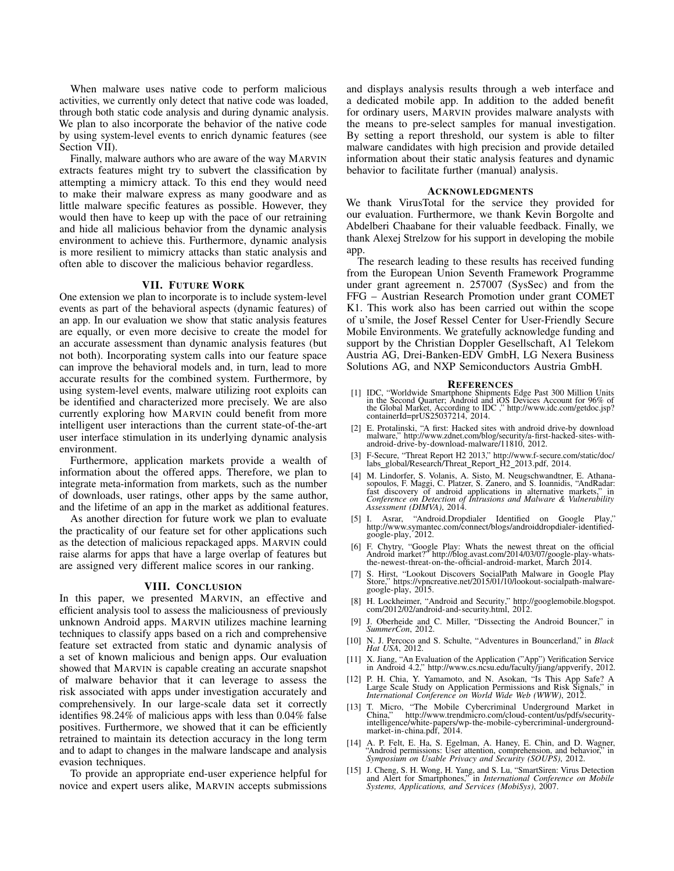When malware uses native code to perform malicious activities, we currently only detect that native code was loaded, through both static code analysis and during dynamic analysis. We plan to also incorporate the behavior of the native code by using system-level events to enrich dynamic features (see Section VII).

Finally, malware authors who are aware of the way MARVIN extracts features might try to subvert the classification by attempting a mimicry attack. To this end they would need to make their malware express as many goodware and as little malware specific features as possible. However, they would then have to keep up with the pace of our retraining and hide all malicious behavior from the dynamic analysis environment to achieve this. Furthermore, dynamic analysis is more resilient to mimicry attacks than static analysis and often able to discover the malicious behavior regardless.

# VII. FUTURE WORK

One extension we plan to incorporate is to include system-level events as part of the behavioral aspects (dynamic features) of an app. In our evaluation we show that static analysis features are equally, or even more decisive to create the model for an accurate assessment than dynamic analysis features (but not both). Incorporating system calls into our feature space can improve the behavioral models and, in turn, lead to more accurate results for the combined system. Furthermore, by using system-level events, malware utilizing root exploits can be identified and characterized more precisely. We are also currently exploring how MARVIN could benefit from more intelligent user interactions than the current state-of-the-art user interface stimulation in its underlying dynamic analysis environment.

Furthermore, application markets provide a wealth of information about the offered apps. Therefore, we plan to integrate meta-information from markets, such as the number of downloads, user ratings, other apps by the same author, and the lifetime of an app in the market as additional features.

As another direction for future work we plan to evaluate the practicality of our feature set for other applications such as the detection of malicious repackaged apps. MARVIN could raise alarms for apps that have a large overlap of features but are assigned very different malice scores in our ranking.

# VIII. CONCLUSION

In this paper, we presented MARVIN, an effective and efficient analysis tool to assess the maliciousness of previously unknown Android apps. MARVIN utilizes machine learning techniques to classify apps based on a rich and comprehensive feature set extracted from static and dynamic analysis of a set of known malicious and benign apps. Our evaluation showed that MARVIN is capable creating an accurate snapshot of malware behavior that it can leverage to assess the risk associated with apps under investigation accurately and comprehensively. In our large-scale data set it correctly identifies 98.24% of malicious apps with less than 0.04% false positives. Furthermore, we showed that it can be efficiently retrained to maintain its detection accuracy in the long term and to adapt to changes in the malware landscape and analysis evasion techniques.

To provide an appropriate end-user experience helpful for novice and expert users alike, MARVIN accepts submissions and displays analysis results through a web interface and a dedicated mobile app. In addition to the added benefit for ordinary users, MARVIN provides malware analysts with the means to pre-select samples for manual investigation. By setting a report threshold, our system is able to filter malware candidates with high precision and provide detailed information about their static analysis features and dynamic behavior to facilitate further (manual) analysis.

#### ACKNOWLEDGMENTS

We thank VirusTotal for the service they provided for our evaluation. Furthermore, we thank Kevin Borgolte and Abdelberi Chaabane for their valuable feedback. Finally, we thank Alexej Strelzow for his support in developing the mobile app.

The research leading to these results has received funding from the European Union Seventh Framework Programme under grant agreement n. 257007 (SysSec) and from the FFG – Austrian Research Promotion under grant COMET K1. This work also has been carried out within the scope of u'smile, the Josef Ressel Center for User-Friendly Secure Mobile Environments. We gratefully acknowledge funding and support by the Christian Doppler Gesellschaft, A1 Telekom Austria AG, Drei-Banken-EDV GmbH, LG Nexera Business Solutions AG, and NXP Semiconductors Austria GmbH.

- **REFERENCES**<br>[1] IDC, "Worldwide Smartphone Shipments Edge Past 300 Million Units<br>in the Second Quarter; Android and iOS Devices Account for 96% of the Global Market, According to IDC ," http://www.idc.com/getdoc.jsp? containerId=prUS25037214, 2014.
- [2] E. Protalinski, "A first: Hacked sites with android drive-by download malware," http://www.zdnet.com/blog/security/a-first-hacked-sites-withandroid-drive-by-download-malware/11810, 2012.
- [3] F-Secure, "Threat Report H2 2013," http://www.f-secure.com/static/doc/ labs global/Research/Threat Report H2 2013.pdf, 2014.
- [4] M. Lindorfer, S. Volanis, A. Sisto, M. Neugschwandtner, E. Athanasopoulos, F. Maggi, C. Platzer, S. Zanero, and S. Ioannidis, "AndRadar: fast discovery of android applications in alternative markets," in Conference on Detection of Intrusions and Malware & Vulnerability Assessment (DIMVA
- [5] I. Asrar, "Android.Dropdialer Identified on Google Play," http://www.symantec.com/connect/blogs/androiddropdialer-identifiedgoogle-play, 2012.
- [6] F. Chytry, "Google Play: Whats the newest threat on the official Android market?" http://blog.avast.com/2014/03/07/google-play-whats-the-newest-threat-on-the-official-android-market, March 2014.
- [7] S. Hirst, "Lookout Discovers SocialPath Malware in Google Play Store," https://vpncreative.net/2015/01/10/lookout-socialpath-malware-google-play, 2015.
- [8] H. Lockheimer, "Android and Security," http://googlemobile.blogspot. com/2012/02/android-and-security.html, 2012.
- [9] J. Oberheide and C. Miller, "Dissecting the Android Bouncer," in *SummerCon*, 2012.
- [10] N. J. Percoco and S. Schulte, "Adventures in Bouncerland," in *Black Hat USA*, 2012.
- [11] X. Jiang, "An Evaluation of the Application ("App") Verification Service in Android 4.2," http://www.cs.ncsu.edu/faculty/jiang/appverify, 2012.
- [12] P. H. Chia, Y. Yamamoto, and N. Asokan, "Is This App Safe? A Large Scale Study on Application Permissions and Risk Signals," in *International Conference on World Wide Web (WWW)*, 2012.
- [13] T. Micro, "The Mobile Cybercriminal Underground Market in China," http://www.trendmicro.com/cloud-content/us/pdfs/security-intelligence/white-papers/wp-the-mobile-cybercriminal-underground-market-in-china.pdf, 2014.
- [14] A. P. Felt, E. Ha, S. Egelman, A. Haney, E. Chin, and D. Wagner, "Android permissions: User attention, comprehension, and behavior," in *Symposium on Usable Privacy and Security (SOUPS)*, 2012.
- [15] J. Cheng, S. H. Wong, H. Yang, and S. Lu, "SmartSiren: Virus Detection and Alert for Smartphones," in *International Conference on Mobile Systems, Applications, and Services (MobiSys)*, 2007.